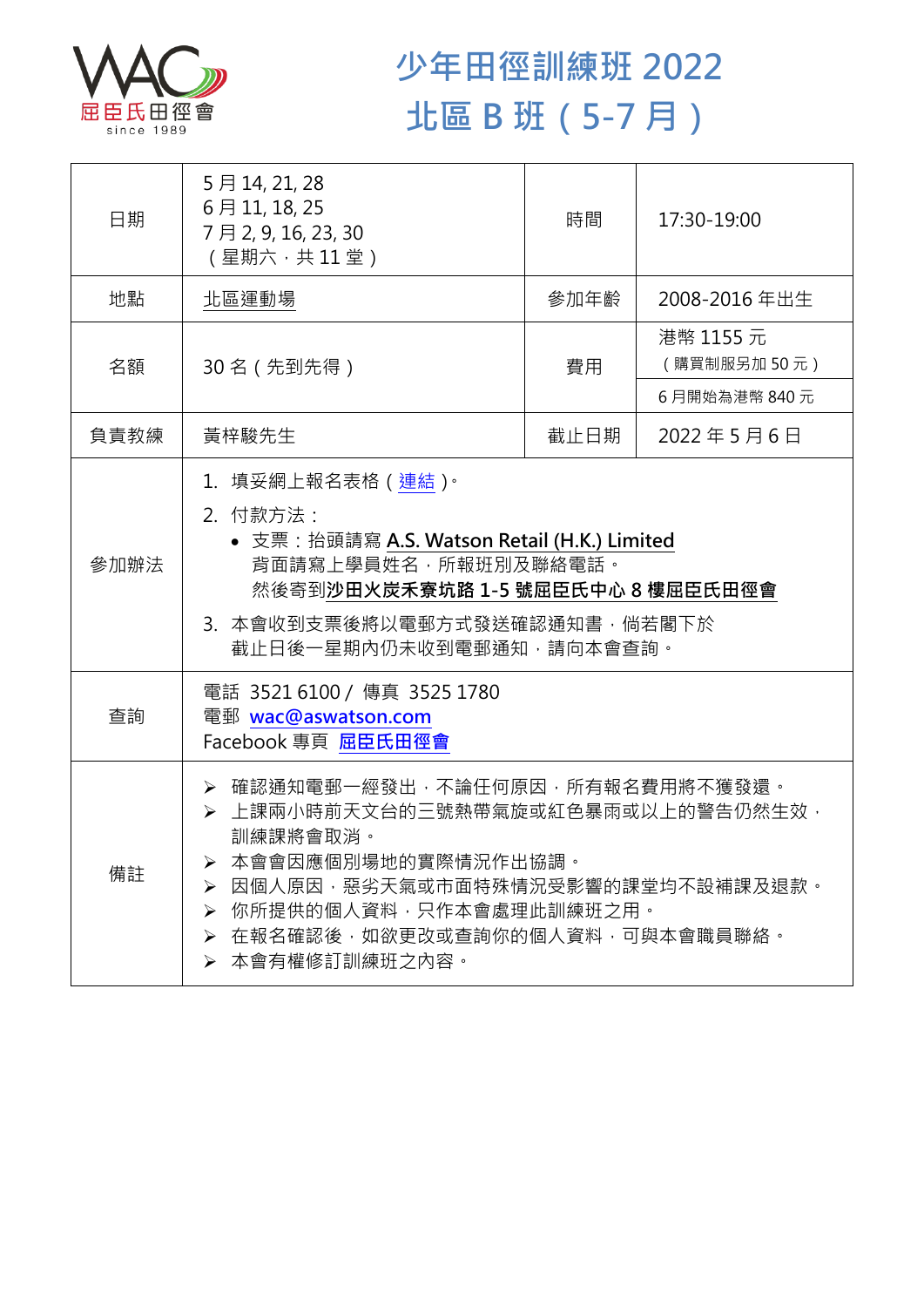

## **少年田徑訓練班 2022 北區 B 班(5-7 月)**

| 日期   | 5月14, 21, 28<br>6月11, 18, 25<br>7月2,9,16,23,30<br>(星期六,共11堂)                                                                                                                                                                                    | 時間   | 17:30-19:00              |  |
|------|-------------------------------------------------------------------------------------------------------------------------------------------------------------------------------------------------------------------------------------------------|------|--------------------------|--|
| 地點   | 北區運動場                                                                                                                                                                                                                                           | 參加年齡 | 2008-2016年出生             |  |
| 名額   | 30名 (先到先得)                                                                                                                                                                                                                                      | 費用   | 港幣 1155 元<br>(購買制服另加50元) |  |
|      |                                                                                                                                                                                                                                                 |      | 6月開始為港幣 840元             |  |
| 負責教練 | 黃梓駿先生                                                                                                                                                                                                                                           | 截止日期 | 2022年5月6日                |  |
| 參加辦法 | 1.填妥網上報名表格(連結) <sup>。</sup><br>2. 付款方法:<br>• 支票: 抬頭請寫 A.S. Watson Retail (H.K.) Limited<br>背面請寫上學員姓名, 所報班別及聯絡電話。<br>然後寄到沙田火炭禾寮坑路 1-5 號屈臣氏中心 8 樓屈臣氏田徑會<br>3. 本會收到支票後將以電郵方式發送確認通知書,倘若閣下於<br>截止日後一星期內仍未收到電郵通知,請向本會查詢。                              |      |                          |  |
| 查詢   | 電話 35216100 / 傳真 3525 1780<br>電郵 wac@aswatson.com<br>Facebook 專頁 屈臣氏田徑會                                                                                                                                                                         |      |                          |  |
| 備註   | > 確認通知電郵一經發出,不論任何原因,所有報名費用將不獲發還。<br>▶ 上課兩小時前天文台的三號熱帶氣旋或紅色暴雨或以上的警告仍然生效,<br>訓練課將會取消。<br>本會會因應個別場地的實際情況作出協調。<br>因個人原因,惡劣天氣或市面特殊情況受影響的課堂均不設補課及退款。<br>➤<br>你所提供的個人資料,只作本會處理此訓練班之用。<br>➤<br>在報名確認後,如欲更改或查詢你的個人資料,可與本會職員聯絡。<br>➤<br>本會有權修訂訓練班之內容。<br>≻ |      |                          |  |